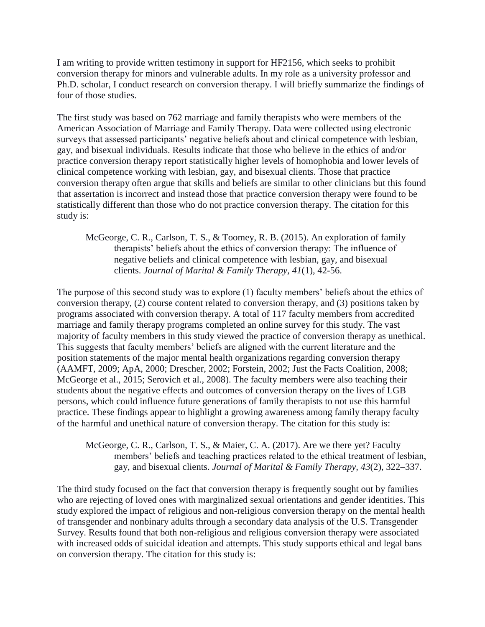I am writing to provide written testimony in support for HF2156, which seeks to prohibit conversion therapy for minors and vulnerable adults. In my role as a university professor and Ph.D. scholar, I conduct research on conversion therapy. I will briefly summarize the findings of four of those studies.

The first study was based on 762 marriage and family therapists who were members of the American Association of Marriage and Family Therapy. Data were collected using electronic surveys that assessed participants' negative beliefs about and clinical competence with lesbian, gay, and bisexual individuals. Results indicate that those who believe in the ethics of and/or practice conversion therapy report statistically higher levels of homophobia and lower levels of clinical competence working with lesbian, gay, and bisexual clients. Those that practice conversion therapy often argue that skills and beliefs are similar to other clinicians but this found that assertation is incorrect and instead those that practice conversion therapy were found to be statistically different than those who do not practice conversion therapy. The citation for this study is:

McGeorge, C. R., Carlson, T. S., & Toomey, R. B. (2015). An exploration of family therapists' beliefs about the ethics of conversion therapy: The influence of negative beliefs and clinical competence with lesbian, gay, and bisexual clients. *Journal of Marital & Family Therapy, 41*(1), 42-56.

The purpose of this second study was to explore (1) faculty members' beliefs about the ethics of conversion therapy, (2) course content related to conversion therapy, and (3) positions taken by programs associated with conversion therapy. A total of 117 faculty members from accredited marriage and family therapy programs completed an online survey for this study. The vast majority of faculty members in this study viewed the practice of conversion therapy as unethical. This suggests that faculty members' beliefs are aligned with the current literature and the position statements of the major mental health organizations regarding conversion therapy (AAMFT, 2009; ApA, 2000; Drescher, 2002; Forstein, 2002; Just the Facts Coalition, 2008; McGeorge et al., 2015; Serovich et al., 2008). The faculty members were also teaching their students about the negative effects and outcomes of conversion therapy on the lives of LGB persons, which could influence future generations of family therapists to not use this harmful practice. These findings appear to highlight a growing awareness among family therapy faculty of the harmful and unethical nature of conversion therapy. The citation for this study is:

McGeorge, C. R., Carlson, T. S., & Maier, C. A. (2017). Are we there yet? Faculty members' beliefs and teaching practices related to the ethical treatment of lesbian, gay, and bisexual clients. *Journal of Marital & Family Therapy, 43*(2), 322–337.

The third study focused on the fact that conversion therapy is frequently sought out by families who are rejecting of loved ones with marginalized sexual orientations and gender identities. This study explored the impact of religious and non-religious conversion therapy on the mental health of transgender and nonbinary adults through a secondary data analysis of the U.S. Transgender Survey. Results found that both non-religious and religious conversion therapy were associated with increased odds of suicidal ideation and attempts. This study supports ethical and legal bans on conversion therapy. The citation for this study is: